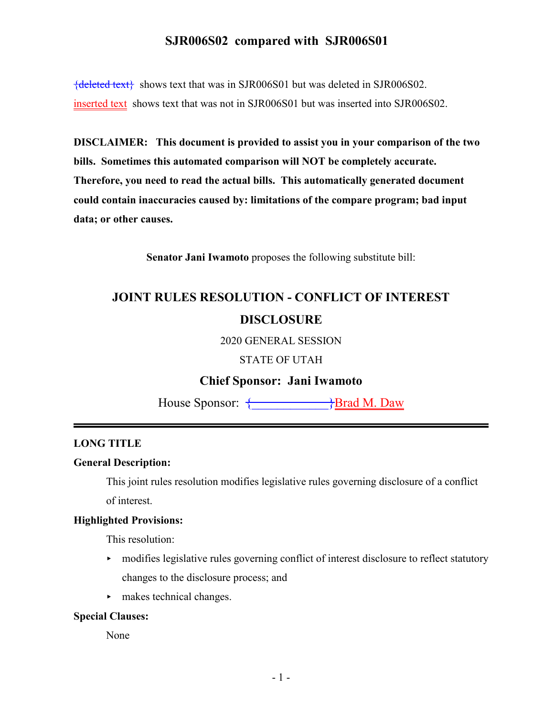{deleted text} shows text that was in SJR006S01 but was deleted in SJR006S02. inserted text shows text that was not in SJR006S01 but was inserted into SJR006S02.

**DISCLAIMER: This document is provided to assist you in your comparison of the two bills. Sometimes this automated comparison will NOT be completely accurate. Therefore, you need to read the actual bills. This automatically generated document could contain inaccuracies caused by: limitations of the compare program; bad input data; or other causes.**

**Senator Jani Iwamoto** proposes the following substitute bill:

# **JOINT RULES RESOLUTION - CONFLICT OF INTEREST DISCLOSURE**

2020 GENERAL SESSION

STATE OF UTAH

## **Chief Sponsor: Jani Iwamoto**

House Sponsor:  $\longleftrightarrow$ Brad M. Daw

### **LONG TITLE**

#### **General Description:**

This joint rules resolution modifies legislative rules governing disclosure of a conflict of interest.

### **Highlighted Provisions:**

This resolution:

- modifies legislative rules governing conflict of interest disclosure to reflect statutory changes to the disclosure process; and
- $\blacktriangleright$  makes technical changes.

#### **Special Clauses:**

None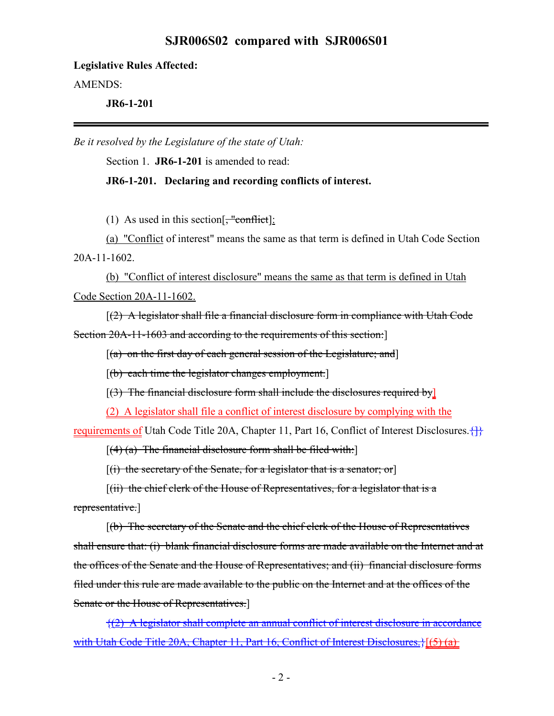**Legislative Rules Affected:**

AMENDS:

**JR6-1-201**

*Be it resolved by the Legislature of the state of Utah:*

Section 1. **JR6-1-201** is amended to read:

### **JR6-1-201. Declaring and recording conflicts of interest.**

(1) As used in this section  $\frac{1}{2}$  "conflict]:

(a) "Conflict of interest" means the same as that term is defined in Utah Code Section 20A-11-1602.

(b) "Conflict of interest disclosure" means the same as that term is defined in Utah Code Section 20A-11-1602.

 $(2)$  A legislator shall file a financial disclosure form in compliance with Utah Code Section 20A-11-1603 and according to the requirements of this section:

 $[(a)$  on the first day of each general session of the Legislature; and

[(b) each time the legislator changes employment.]

 $[(3)$  The financial disclosure form shall include the disclosures required by  $]$ 

(2) A legislator shall file a conflict of interest disclosure by complying with the

requirements of Utah Code Title 20A, Chapter 11, Part 16, Conflict of Interest Disclosures.  $\{\}$ 

 $[(4)$  (a) The financial disclosure form shall be filed with:

 $[(i)$  the secretary of the Senate, for a legislator that is a senator; or

 $[(ii)$  the chief clerk of the House of Representatives, for a legislator that is a

representative.]

[(b) The secretary of the Senate and the chief clerk of the House of Representatives shall ensure that: (i) blank financial disclosure forms are made available on the Internet and at the offices of the Senate and the House of Representatives; and (ii) financial disclosure forms filed under this rule are made available to the public on the Internet and at the offices of the Senate or the House of Representatives.]

{(2) A legislator shall complete an annual conflict of interest disclosure in accordance with Utah Code Title 20A, Chapter 11, Part 16, Conflict of Interest Disclosures.}[(5) (a)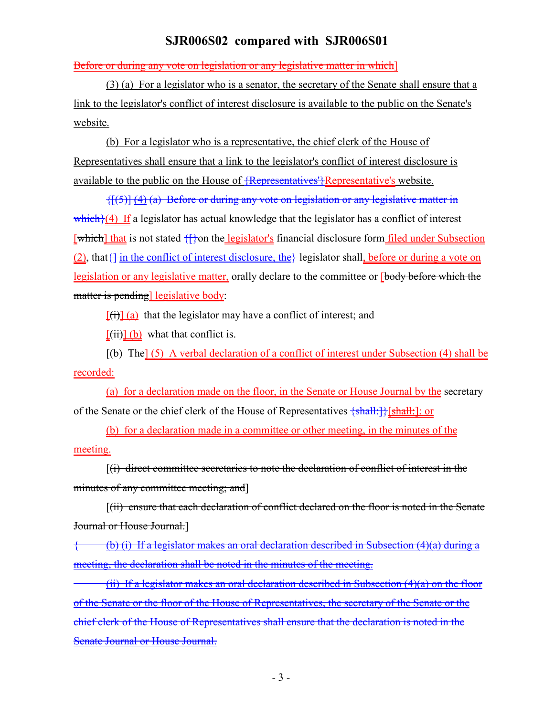Before or during any vote on legislation or any legislative matter in which]

(3) (a) For a legislator who is a senator, the secretary of the Senate shall ensure that a link to the legislator's conflict of interest disclosure is available to the public on the Senate's website.

(b) For a legislator who is a representative, the chief clerk of the House of Representatives shall ensure that a link to the legislator's conflict of interest disclosure is available to the public on the House of <del>{Representatives<sup>}</sup>}</del>Representative's website.

 $\{[(5)] (4) (a)$  Before or during any vote on legislation or any legislative matter in which $\{(4)$  If a legislator has actual knowledge that the legislator has a conflict of interest [which] that is not stated  $\{\}$  on the legislator's financial disclosure form filed under Subsection (2), that { in the conflict of interest disclosure, the } legislator shall, before or during a vote on legislation or any legislative matter, orally declare to the committee or **[body before which the** matter is pending] legislative body:

 $[(\overrightarrow{t})]$  (a) that the legislator may have a conflict of interest; and

 $[\overrightarrow{iii}]$  (b) what that conflict is.

 $[(b)$  The] (5) A verbal declaration of a conflict of interest under Subsection (4) shall be recorded:

(a) for a declaration made on the floor, in the Senate or House Journal by the secretary of the Senate or the chief clerk of the House of Representatives  $\{\text{shall:}\}$ [shall:]; or

(b) for a declaration made in a committee or other meeting, in the minutes of the meeting.

[(i) direct committee secretaries to note the declaration of conflict of interest in the minutes of any committee meeting; and

[(ii) ensure that each declaration of conflict declared on the floor is noted in the Senate Journal or House Journal.]

{ (b) (i) If a legislator makes an oral declaration described in Subsection (4)(a) during a meeting, the declaration shall be noted in the minutes of the meeting.

(ii) If a legislator makes an oral declaration described in Subsection  $(4)(a)$  on the floor of the Senate or the floor of the House of Representatives, the secretary of the Senate or the chief clerk of the House of Representatives shall ensure that the declaration is noted in the Senate Journal or House Journal.